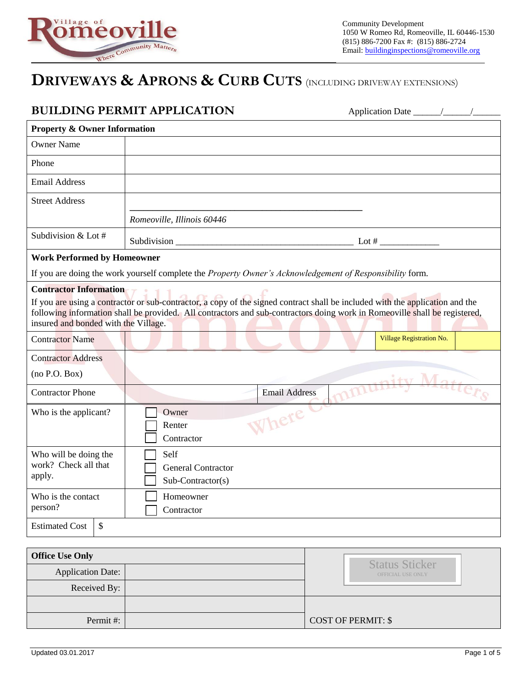

## **DRIVEWAYS & APRONS & CURB CUTS** (INCLUDING DRIVEWAY EXTENSIONS)

|                                                                                                                                                                                                                                                                                                     | <b>BUILDING PERMIT APPLICATION</b>                     |  |  |
|-----------------------------------------------------------------------------------------------------------------------------------------------------------------------------------------------------------------------------------------------------------------------------------------------------|--------------------------------------------------------|--|--|
| <b>Property &amp; Owner Information</b>                                                                                                                                                                                                                                                             |                                                        |  |  |
| <b>Owner Name</b>                                                                                                                                                                                                                                                                                   |                                                        |  |  |
| Phone                                                                                                                                                                                                                                                                                               |                                                        |  |  |
| <b>Email Address</b>                                                                                                                                                                                                                                                                                |                                                        |  |  |
| <b>Street Address</b>                                                                                                                                                                                                                                                                               |                                                        |  |  |
|                                                                                                                                                                                                                                                                                                     | Romeoville, Illinois 60446                             |  |  |
| Subdivision & Lot #                                                                                                                                                                                                                                                                                 | Subdivision $\qquad \qquad$ Lot #                      |  |  |
| <b>Work Performed by Homeowner</b>                                                                                                                                                                                                                                                                  |                                                        |  |  |
| If you are doing the work yourself complete the Property Owner's Acknowledgement of Responsibility form.                                                                                                                                                                                            |                                                        |  |  |
| If you are using a contractor or sub-contractor, a copy of the signed contract shall be included with the application and the<br>following information shall be provided. All contractors and sub-contractors doing work in Romeoville shall be registered,<br>insured and bonded with the Village. |                                                        |  |  |
| <b>Contractor Name</b>                                                                                                                                                                                                                                                                              | Village Registration No.                               |  |  |
| <b>Contractor Address</b><br>(no P.O. Box)                                                                                                                                                                                                                                                          |                                                        |  |  |
| <b>Contractor Phone</b>                                                                                                                                                                                                                                                                             | mmunity Matters<br><b>Email Address</b>                |  |  |
| Who is the applicant?                                                                                                                                                                                                                                                                               | Owner<br>Where<br>Renter<br>Contractor                 |  |  |
| Who will be doing the<br>work? Check all that<br>apply.                                                                                                                                                                                                                                             | Self<br><b>General Contractor</b><br>Sub-Contractor(s) |  |  |
| Who is the contact<br>person?                                                                                                                                                                                                                                                                       | Homeowner<br>Contractor                                |  |  |
| $\mathcal{S}$<br><b>Estimated Cost</b>                                                                                                                                                                                                                                                              |                                                        |  |  |

| <b>Office Use Only</b> |  |                                            |
|------------------------|--|--------------------------------------------|
| Application Date:      |  | <b>Status Sticker</b><br>OFFICIAL USE ONLY |
| Received By:           |  |                                            |
|                        |  |                                            |
| Permit#:               |  | <b>COST OF PERMIT: \$</b>                  |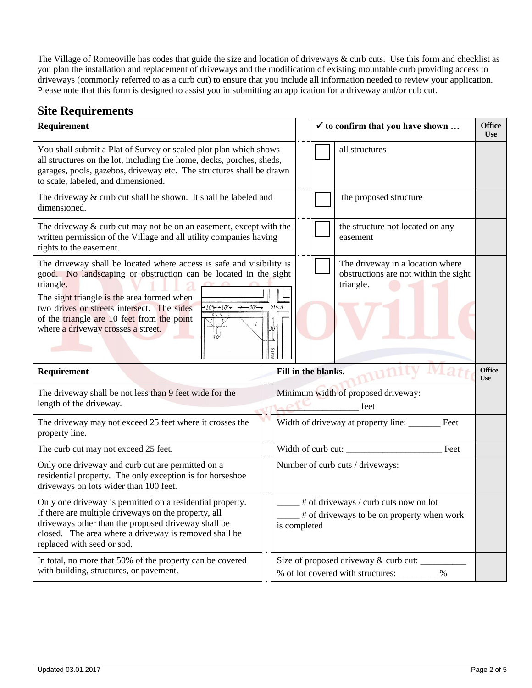The Village of Romeoville has codes that guide the size and location of driveways & curb cuts. Use this form and checklist as you plan the installation and replacement of driveways and the modification of existing mountable curb providing access to driveways (commonly referred to as a curb cut) to ensure that you include all information needed to review your application. Please note that this form is designed to assist you in submitting an application for a driveway and/or cub cut.

## **Site Requirements**

| Requirement                                                                                                                                                                                                                                                                                                                                                           |                              |                                                                                                     | $\checkmark$ to confirm that you have shown |                                                                                        |                             |
|-----------------------------------------------------------------------------------------------------------------------------------------------------------------------------------------------------------------------------------------------------------------------------------------------------------------------------------------------------------------------|------------------------------|-----------------------------------------------------------------------------------------------------|---------------------------------------------|----------------------------------------------------------------------------------------|-----------------------------|
| You shall submit a Plat of Survey or scaled plot plan which shows<br>all structures on the lot, including the home, decks, porches, sheds,<br>garages, pools, gazebos, driveway etc. The structures shall be drawn<br>to scale, labeled, and dimensioned.                                                                                                             |                              |                                                                                                     |                                             | all structures                                                                         |                             |
| The driveway $&$ curb cut shall be shown. It shall be labeled and<br>dimensioned.                                                                                                                                                                                                                                                                                     |                              |                                                                                                     |                                             | the proposed structure                                                                 |                             |
| The driveway $&$ curb cut may not be on an easement, except with the<br>written permission of the Village and all utility companies having<br>rights to the easement.                                                                                                                                                                                                 |                              |                                                                                                     |                                             | the structure not located on any<br>easement                                           |                             |
| The driveway shall be located where access is safe and visibility is<br>good. No landscaping or obstruction can be located in the sight<br>triangle.<br>The sight triangle is the area formed when<br>two drives or streets intersect. The sides<br>$-10 - 10 -$<br>–30′—⊣<br>of the triangle are 10 feet from the point<br>where a driveway crosses a street.<br>10' | <i><b>Street</b></i><br>Stre |                                                                                                     |                                             | The driveway in a location where<br>obstructions are not within the sight<br>triangle. |                             |
| Requirement                                                                                                                                                                                                                                                                                                                                                           |                              |                                                                                                     | Fill in the blanks.                         |                                                                                        | <b>Office</b><br><b>Use</b> |
| The driveway shall be not less than 9 feet wide for the<br>length of the driveway.                                                                                                                                                                                                                                                                                    |                              |                                                                                                     |                                             | Minimum width of proposed driveway:<br>feet                                            |                             |
| The driveway may not exceed 25 feet where it crosses the<br>property line.                                                                                                                                                                                                                                                                                            |                              | Width of driveway at property line:<br>Feet                                                         |                                             |                                                                                        |                             |
| The curb cut may not exceed 25 feet.                                                                                                                                                                                                                                                                                                                                  |                              | Width of curb cut:<br>Feet                                                                          |                                             |                                                                                        |                             |
| Only one driveway and curb cut are permitted on a<br>residential property. The only exception is for horseshoe<br>driveways on lots wider than 100 feet.                                                                                                                                                                                                              |                              | Number of curb cuts / driveways:                                                                    |                                             |                                                                                        |                             |
| Only one driveway is permitted on a residential property.<br>If there are multiple driveways on the property, all<br>driveways other than the proposed driveway shall be<br>closed. The area where a driveway is removed shall be<br>replaced with seed or sod.                                                                                                       |                              | # of driveways / curb cuts now on lot<br># of driveways to be on property when work<br>is completed |                                             |                                                                                        |                             |
| In total, no more that 50% of the property can be covered<br>with building, structures, or pavement.                                                                                                                                                                                                                                                                  |                              | Size of proposed driveway & curb cut: _____<br>% of lot covered with structures:<br>$\%$            |                                             |                                                                                        |                             |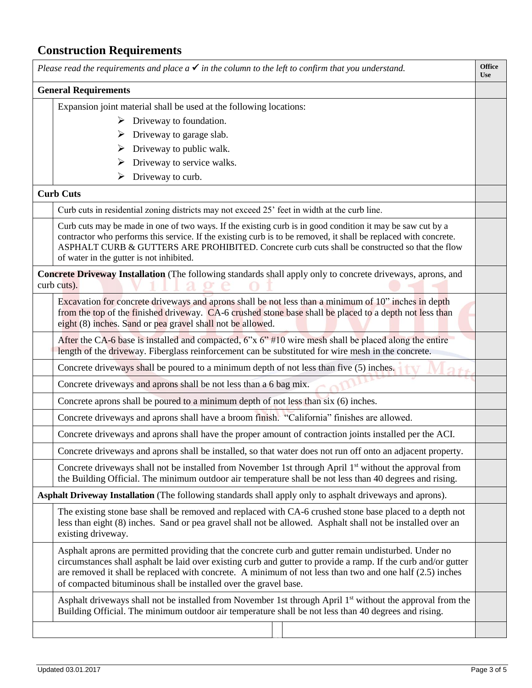## **Construction Requirements**

| Please read the requirements and place $a \checkmark$ in the column to the left to confirm that you understand. |                                                                                                                                                                                                                                                                                                                                                                                                         | <b>Office</b><br><b>Use</b> |  |
|-----------------------------------------------------------------------------------------------------------------|---------------------------------------------------------------------------------------------------------------------------------------------------------------------------------------------------------------------------------------------------------------------------------------------------------------------------------------------------------------------------------------------------------|-----------------------------|--|
|                                                                                                                 | <b>General Requirements</b>                                                                                                                                                                                                                                                                                                                                                                             |                             |  |
|                                                                                                                 | Expansion joint material shall be used at the following locations:                                                                                                                                                                                                                                                                                                                                      |                             |  |
|                                                                                                                 | $\triangleright$ Driveway to foundation.                                                                                                                                                                                                                                                                                                                                                                |                             |  |
|                                                                                                                 | Driveway to garage slab.<br>➤                                                                                                                                                                                                                                                                                                                                                                           |                             |  |
|                                                                                                                 | Driveway to public walk.<br>➤                                                                                                                                                                                                                                                                                                                                                                           |                             |  |
|                                                                                                                 | Driveway to service walks.                                                                                                                                                                                                                                                                                                                                                                              |                             |  |
|                                                                                                                 | Driveway to curb.<br>➤                                                                                                                                                                                                                                                                                                                                                                                  |                             |  |
|                                                                                                                 | <b>Curb Cuts</b>                                                                                                                                                                                                                                                                                                                                                                                        |                             |  |
|                                                                                                                 | Curb cuts in residential zoning districts may not exceed 25' feet in width at the curb line.                                                                                                                                                                                                                                                                                                            |                             |  |
|                                                                                                                 | Curb cuts may be made in one of two ways. If the existing curb is in good condition it may be saw cut by a<br>contractor who performs this service. If the existing curb is to be removed, it shall be replaced with concrete.<br>ASPHALT CURB & GUTTERS ARE PROHIBITED. Concrete curb cuts shall be constructed so that the flow<br>of water in the gutter is not inhibited.                           |                             |  |
|                                                                                                                 | Concrete Driveway Installation (The following standards shall apply only to concrete driveways, aprons, and<br>curb cuts).                                                                                                                                                                                                                                                                              |                             |  |
|                                                                                                                 | Excavation for concrete driveways and aprons shall be not less than a minimum of 10" inches in depth<br>from the top of the finished driveway. CA-6 crushed stone base shall be placed to a depth not less than<br>eight (8) inches. Sand or pea gravel shall not be allowed.                                                                                                                           |                             |  |
|                                                                                                                 | After the CA-6 base is installed and compacted, $6''x\ 6''$ #10 wire mesh shall be placed along the entire<br>length of the driveway. Fiberglass reinforcement can be substituted for wire mesh in the concrete.                                                                                                                                                                                        |                             |  |
|                                                                                                                 | Concrete driveways shall be poured to a minimum depth of not less than five (5) inches.                                                                                                                                                                                                                                                                                                                 |                             |  |
|                                                                                                                 | Concrete driveways and aprons shall be not less than a 6 bag mix.                                                                                                                                                                                                                                                                                                                                       |                             |  |
|                                                                                                                 | Concrete aprons shall be poured to a minimum depth of not less than six (6) inches.                                                                                                                                                                                                                                                                                                                     |                             |  |
|                                                                                                                 | Concrete driveways and aprons shall have a broom finish. "California" finishes are allowed.                                                                                                                                                                                                                                                                                                             |                             |  |
|                                                                                                                 | Concrete driveways and aprons shall have the proper amount of contraction joints installed per the ACI.                                                                                                                                                                                                                                                                                                 |                             |  |
|                                                                                                                 | Concrete driveways and aprons shall be installed, so that water does not run off onto an adjacent property.                                                                                                                                                                                                                                                                                             |                             |  |
|                                                                                                                 | Concrete driveways shall not be installed from November 1st through April 1 <sup>st</sup> without the approval from<br>the Building Official. The minimum outdoor air temperature shall be not less than 40 degrees and rising.                                                                                                                                                                         |                             |  |
|                                                                                                                 | Asphalt Driveway Installation (The following standards shall apply only to asphalt driveways and aprons).                                                                                                                                                                                                                                                                                               |                             |  |
|                                                                                                                 | The existing stone base shall be removed and replaced with CA-6 crushed stone base placed to a depth not<br>less than eight (8) inches. Sand or pea gravel shall not be allowed. Asphalt shall not be installed over an<br>existing driveway.                                                                                                                                                           |                             |  |
|                                                                                                                 | Asphalt aprons are permitted providing that the concrete curb and gutter remain undisturbed. Under no<br>circumstances shall asphalt be laid over existing curb and gutter to provide a ramp. If the curb and/or gutter<br>are removed it shall be replaced with concrete. A minimum of not less than two and one half (2.5) inches<br>of compacted bituminous shall be installed over the gravel base. |                             |  |
|                                                                                                                 | Asphalt driveways shall not be installed from November 1st through April 1 <sup>st</sup> without the approval from the<br>Building Official. The minimum outdoor air temperature shall be not less than 40 degrees and rising.                                                                                                                                                                          |                             |  |
|                                                                                                                 |                                                                                                                                                                                                                                                                                                                                                                                                         |                             |  |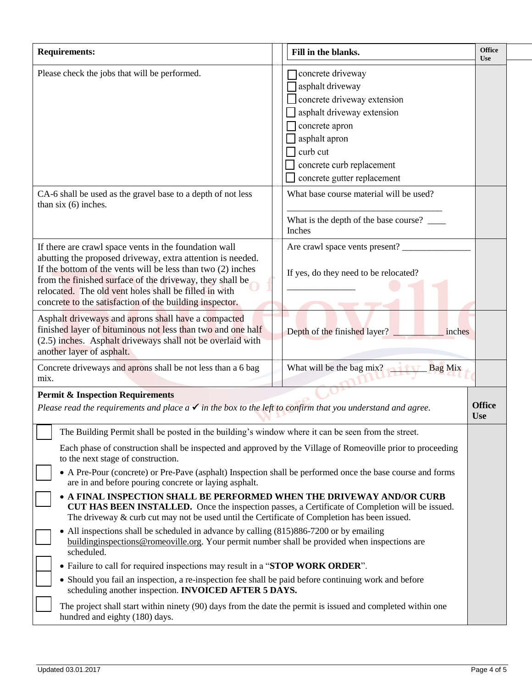| <b>Requirements:</b>                                                                                                                                                                                                                                                                                                                                                                                                                                                                                                                                                                                                                                                                                                                                                                                                                                                                                                                                                                                                                                                                                                                                                                       | Fill in the blanks.                                                                                                                                                                                           | <b>Office</b><br><b>Use</b> |
|--------------------------------------------------------------------------------------------------------------------------------------------------------------------------------------------------------------------------------------------------------------------------------------------------------------------------------------------------------------------------------------------------------------------------------------------------------------------------------------------------------------------------------------------------------------------------------------------------------------------------------------------------------------------------------------------------------------------------------------------------------------------------------------------------------------------------------------------------------------------------------------------------------------------------------------------------------------------------------------------------------------------------------------------------------------------------------------------------------------------------------------------------------------------------------------------|---------------------------------------------------------------------------------------------------------------------------------------------------------------------------------------------------------------|-----------------------------|
| Please check the jobs that will be performed.                                                                                                                                                                                                                                                                                                                                                                                                                                                                                                                                                                                                                                                                                                                                                                                                                                                                                                                                                                                                                                                                                                                                              | concrete driveway<br>asphalt driveway<br>concrete driveway extension<br>asphalt driveway extension<br>concrete apron<br>asphalt apron<br>curb cut<br>concrete curb replacement<br>concrete gutter replacement |                             |
| CA-6 shall be used as the gravel base to a depth of not less<br>than six $(6)$ inches.                                                                                                                                                                                                                                                                                                                                                                                                                                                                                                                                                                                                                                                                                                                                                                                                                                                                                                                                                                                                                                                                                                     | What base course material will be used?<br>What is the depth of the base course?<br>Inches                                                                                                                    |                             |
| If there are crawl space vents in the foundation wall<br>abutting the proposed driveway, extra attention is needed.<br>If the bottom of the vents will be less than two $(2)$ inches<br>from the finished surface of the driveway, they shall be<br>relocated. The old vent holes shall be filled in with<br>concrete to the satisfaction of the building inspector.                                                                                                                                                                                                                                                                                                                                                                                                                                                                                                                                                                                                                                                                                                                                                                                                                       | Are crawl space vents present?<br>If yes, do they need to be relocated?                                                                                                                                       |                             |
| Asphalt driveways and aprons shall have a compacted<br>finished layer of bituminous not less than two and one half<br>(2.5) inches. Asphalt driveways shall not be overlaid with<br>another layer of asphalt.                                                                                                                                                                                                                                                                                                                                                                                                                                                                                                                                                                                                                                                                                                                                                                                                                                                                                                                                                                              | Depth of the finished layer?<br>inches                                                                                                                                                                        |                             |
| Concrete driveways and aprons shall be not less than a 6 bag<br>mix.                                                                                                                                                                                                                                                                                                                                                                                                                                                                                                                                                                                                                                                                                                                                                                                                                                                                                                                                                                                                                                                                                                                       | What will be the bag mix?<br><b>Bag Mix</b>                                                                                                                                                                   |                             |
| <b>Permit &amp; Inspection Requirements</b><br>Please read the requirements and place $a \checkmark$ in the box to the left to confirm that you understand and agree.                                                                                                                                                                                                                                                                                                                                                                                                                                                                                                                                                                                                                                                                                                                                                                                                                                                                                                                                                                                                                      |                                                                                                                                                                                                               | <b>Office</b><br><b>Use</b> |
| The Building Permit shall be posted in the building's window where it can be seen from the street.<br>Each phase of construction shall be inspected and approved by the Village of Romeoville prior to proceeding<br>to the next stage of construction.<br>• A Pre-Pour (concrete) or Pre-Pave (asphalt) Inspection shall be performed once the base course and forms<br>are in and before pouring concrete or laying asphalt.<br>• A FINAL INSPECTION SHALL BE PERFORMED WHEN THE DRIVEWAY AND/OR CURB<br><b>CUT HAS BEEN INSTALLED.</b> Once the inspection passes, a Certificate of Completion will be issued.<br>The driveway $\&$ curb cut may not be used until the Certificate of Completion has been issued.<br>• All inspections shall be scheduled in advance by calling (815)886-7200 or by emailing<br>building inspections @ romeoville.org. Your permit number shall be provided when inspections are<br>scheduled.<br>• Failure to call for required inspections may result in a "STOP WORK ORDER".<br>• Should you fail an inspection, a re-inspection fee shall be paid before continuing work and before<br>scheduling another inspection. <b>INVOICED AFTER 5 DAYS.</b> |                                                                                                                                                                                                               |                             |
| The project shall start within ninety (90) days from the date the permit is issued and completed within one<br>hundred and eighty (180) days.                                                                                                                                                                                                                                                                                                                                                                                                                                                                                                                                                                                                                                                                                                                                                                                                                                                                                                                                                                                                                                              |                                                                                                                                                                                                               |                             |